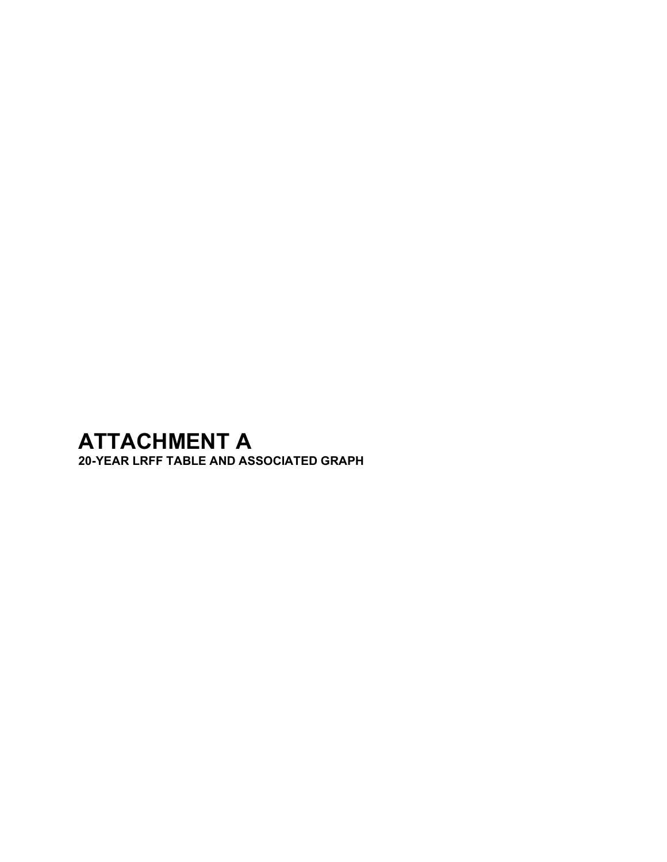## **ATTACHMENT A**

**20-YEAR LRFF TABLE AND ASSOCIATED GRAPH**